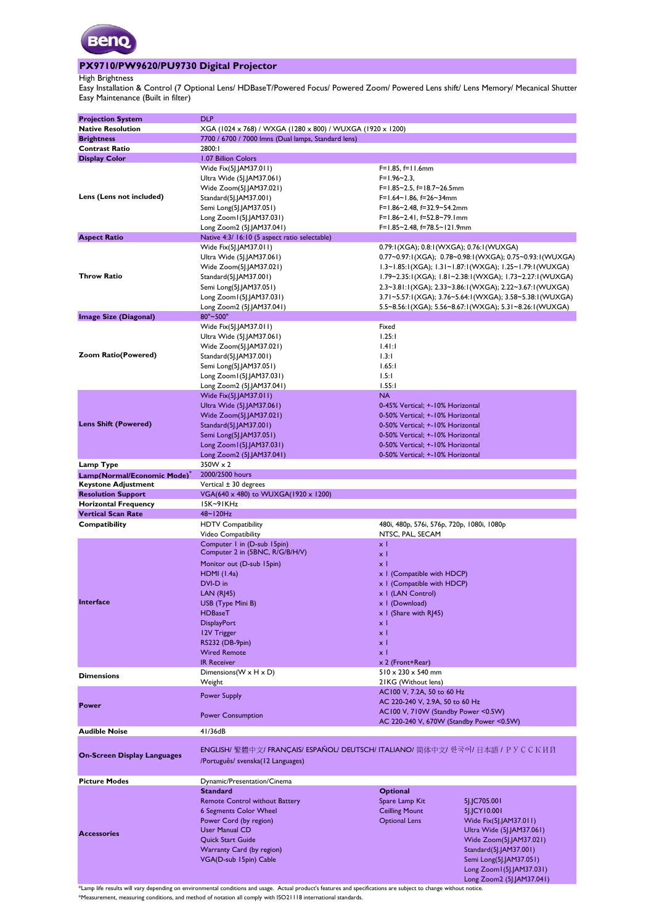

#### **PX9710/PW9620/PU9730 Digital Projector**

High Brightness

Easy Maintenance (Built in filter) Easy Installation & Control (7 Optional Lens/ HDBaseT/Powered Focus/ Powered Zoom/ Powered Lens shift/ Lens Memory/ Mecanical Shutter)

|                                    | <b>DLP</b>                                                 |                                                                                       |
|------------------------------------|------------------------------------------------------------|---------------------------------------------------------------------------------------|
| <b>Projection System</b>           |                                                            |                                                                                       |
| <b>Native Resolution</b>           | XGA (1024 x 768) / WXGA (1280 x 800) / WUXGA (1920 x 1200) |                                                                                       |
| <b>Brightness</b>                  | 7700 / 6700 / 7000 lmns (Dual lamps, Standard lens)        |                                                                                       |
| <b>Contrast Ratio</b>              | 2800:1                                                     |                                                                                       |
| <b>Display Color</b>               | 1.07 Billion Colors                                        |                                                                                       |
|                                    | Wide Fix(5J.JAM37.011)                                     | F=1.85, f=11.6mm                                                                      |
|                                    | Ultra Wide (5J.JAM37.061)                                  | $F=1.96-2.3$                                                                          |
|                                    |                                                            | F=1.85~2.5, f=18.7~26.5mm                                                             |
|                                    | Wide Zoom(5J.JAM37.021)                                    |                                                                                       |
| Lens (Lens not included)           | Standard(5J.JAM37.001)                                     | F=1.64~1.86, f=26~34mm                                                                |
|                                    | Semi Long(5J.JAM37.051)                                    | F=1.86~2.48, f=32.9~54.2mm                                                            |
|                                    | Long Zoom I (5J.JAM37.031)                                 | F=1.86~2.41, f=52.8~79.1mm                                                            |
|                                    | Long Zoom2 (5J.JAM37.041)                                  | F=1.85~2.48, f=78.5~121.9mm                                                           |
| <b>Aspect Ratio</b>                | Native 4:3/ 16:10 (5 aspect ratio selectable)              |                                                                                       |
|                                    | Wide Fix(5J.JAM37.011)                                     | 0.79:1(XGA); 0.8:1(WXGA); 0.76:1(WUXGA)                                               |
|                                    | Ultra Wide (5].JAM37.061)                                  | 0.77~0.97:1(XGA);            0.78~0.98:1(WXGA);            0.75~0.93:1(WUXGA)         |
|                                    |                                                            |                                                                                       |
|                                    | Wide Zoom(5J.JAM37.021)                                    | 1.3~1.85:1(XGA); 1.31~1.87:1(WXGA); 1.25~1.79:1(WUXGA)                                |
| Throw Ratio                        | Standard(5J.JAM37.001)                                     | I.79~2.35:1(XGA); I.81~2.38:1(WXGA); I.73~2.27:1(WUXGA)                               |
|                                    | Semi Long(5J.JAM37.051)                                    | 2.3~3.81:1(XGA); 2.33~3.86:1(WXGA); 2.22~3.67:1(WUXGA)                                |
|                                    | Long Zoom I (5J.JAM37.031)                                 | 3.71~5.57:1(XGA); 3.76~5.64:1(WXGA); 3.58~5.38:1(WUXGA)                               |
|                                    | Long Zoom2 (5J.JAM37.041)                                  | 5.5~8.56:1(XGA); 5.56~8.67:1(WXGA); 5.31~8.26:1(WUXGA)                                |
| Image Size (Diagonal)              | 80"~500"                                                   |                                                                                       |
|                                    | Wide Fix(5J.JAM37.011)                                     | Fixed                                                                                 |
|                                    |                                                            |                                                                                       |
|                                    | Ultra Wide (5J.JAM37.061)                                  | 1.25:1                                                                                |
|                                    | Wide Zoom(5J.JAM37.021)                                    | 1.41:1                                                                                |
| Zoom Ratio(Powered)                | Standard(5J.JAM37.001)                                     | 1.3:1                                                                                 |
|                                    | Semi Long(5].JAM37.051)                                    | 1.65:1                                                                                |
|                                    | Long Zoom I (5J.JAM37.031)                                 | 1.5:1                                                                                 |
|                                    | Long Zoom2 (5J.JAM37.041)                                  | 1.55:1                                                                                |
|                                    | Wide Fix(5J.JAM37.011)                                     | <b>NA</b>                                                                             |
|                                    |                                                            |                                                                                       |
|                                    | Ultra Wide (5J.JAM37.061)                                  | 0-45% Vertical: +-10% Horizontal                                                      |
|                                    | Wide Zoom(5J.JAM37.021)                                    | 0-50% Vertical; +-10% Horizontal                                                      |
| <b>Lens Shift (Powered)</b>        | Standard(5J.JAM37.001)                                     | 0-50% Vertical; +-10% Horizontal                                                      |
|                                    | Semi Long(5J.JAM37.051)                                    | 0-50% Vertical; +-10% Horizontal                                                      |
|                                    | Long Zoom I (5J.JAM37.031)                                 | 0-50% Vertical; +-10% Horizontal                                                      |
|                                    | Long Zoom2 (5J.JAM37.041)                                  | 0-50% Vertical; +-10% Horizontal                                                      |
| Lamp Type                          | $350W \times 2$                                            |                                                                                       |
|                                    |                                                            |                                                                                       |
| Lamp(Normal/Economic Mode)         | 2000/2500 hours                                            |                                                                                       |
| <b>Keystone Adjustment</b>         | Vertical $\pm$ 30 degrees                                  |                                                                                       |
| <b>Resolution Support</b>          | VGA(640 x 480) to WUXGA(1920 x 1200)                       |                                                                                       |
| <b>Horizontal Frequency</b>        | 15K~91KHz                                                  |                                                                                       |
| <b>Vertical Scan Rate</b>          | 48~120Hz                                                   |                                                                                       |
| Compatibility                      | <b>HDTV Compatibility</b>                                  | 480i, 480p, 576i, 576p, 720p, 1080i, 1080p                                            |
|                                    | Video Compatibility                                        | NTSC, PAL, SECAM                                                                      |
|                                    | Computer I in (D-sub 15pin)                                | $\times$ 1                                                                            |
|                                    | Computer 2 in (5BNC, R/G/B/H/V)                            |                                                                                       |
|                                    |                                                            | $\times$ 1                                                                            |
|                                    | Monitor out (D-sub 15pin)                                  | $\times$ 1                                                                            |
|                                    | $HDMI$ (1.4a)                                              | x 1 (Compatible with HDCP)                                                            |
|                                    | DVI-D in                                                   | x I (Compatible with HDCP)                                                            |
|                                    | LAN(RJ45)                                                  | x I (LAN Control)                                                                     |
| Interface                          | USB (Type Mini B)                                          | x I (Download)                                                                        |
|                                    | <b>HDBaseT</b>                                             | $x$ I (Share with RJ45)                                                               |
|                                    | <b>DisplayPort</b>                                         | x <sub>1</sub>                                                                        |
|                                    | 12V Trigger                                                | x <sub>1</sub>                                                                        |
|                                    |                                                            |                                                                                       |
|                                    | RS232 (DB-9pin)                                            | x <sub>1</sub>                                                                        |
|                                    | <b>Wired Remote</b>                                        | x <sub>1</sub>                                                                        |
|                                    | <b>IR Receiver</b>                                         | x 2 (Front+Rear)                                                                      |
| <b>Dimensions</b>                  | Dimensions ( $W \times H \times D$ )                       | $510 \times 230 \times 540$ mm                                                        |
|                                    | Weight                                                     | 21KG (Without lens)                                                                   |
|                                    |                                                            | AC100 V, 7.2A, 50 to 60 Hz                                                            |
|                                    | <b>Power Supply</b>                                        | AC 220-240 V, 2.9A, 50 to 60 Hz                                                       |
| Power                              |                                                            | AC100 V, 710W (Standby Power <0.5W)                                                   |
|                                    | <b>Power Consumption</b>                                   |                                                                                       |
|                                    |                                                            | AC 220-240 V, 670W (Standby Power <0.5W)                                              |
| <b>Audible Noise</b>               | 41/36dB                                                    |                                                                                       |
|                                    |                                                            | ENGLISH/ 繁體中文/ FRANÇAIS/ ESPAÑOL/ DEUTSCH/ ITALIANO/ 简体中文/ 한국어/ 日本語 / P Y C C K I I Й |
| <b>On-Screen Display Languages</b> | /Português/ svenska(12 Languages)                          |                                                                                       |
|                                    |                                                            |                                                                                       |
| <b>Picture Modes</b>               | Dynamic/Presentation/Cinema                                |                                                                                       |
|                                    | <b>Standard</b>                                            | <b>Optional</b>                                                                       |
|                                    | <b>Remote Control without Battery</b>                      | Spare Lamp Kit<br>5J.JC705.001                                                        |
|                                    | <b>6 Segments Color Wheel</b>                              | <b>Ceilling Mount</b><br>5].JCY10.001                                                 |
|                                    | Power Cord (by region)                                     | <b>Optional Lens</b><br>Wide Fix(5J.JAM37.011)                                        |
|                                    | <b>User Manual CD</b>                                      | Ultra Wide (5J.JAM37.061)                                                             |
| <b>Accessories</b>                 | Quick Start Guide                                          |                                                                                       |
|                                    |                                                            | Wide Zoom(5J.JAM37.021)                                                               |
|                                    | Warranty Card (by region)                                  | Standard(5J.JAM37.001)                                                                |
|                                    | VGA(D-sub 15pin) Cable                                     | Semi Long(5J.JAM37.051)                                                               |
|                                    |                                                            | Long Zoom I (5J.JAM37.031)                                                            |
|                                    |                                                            | Long Zoom2 (5J.JAM37.041)                                                             |

\*Lamp life results will vary depending on environmental conditions and usage. Actual product's features and specifications are subject to change without notice. \*Measurement, measuring conditions, and method of notation all comply with ISO21118 international standards.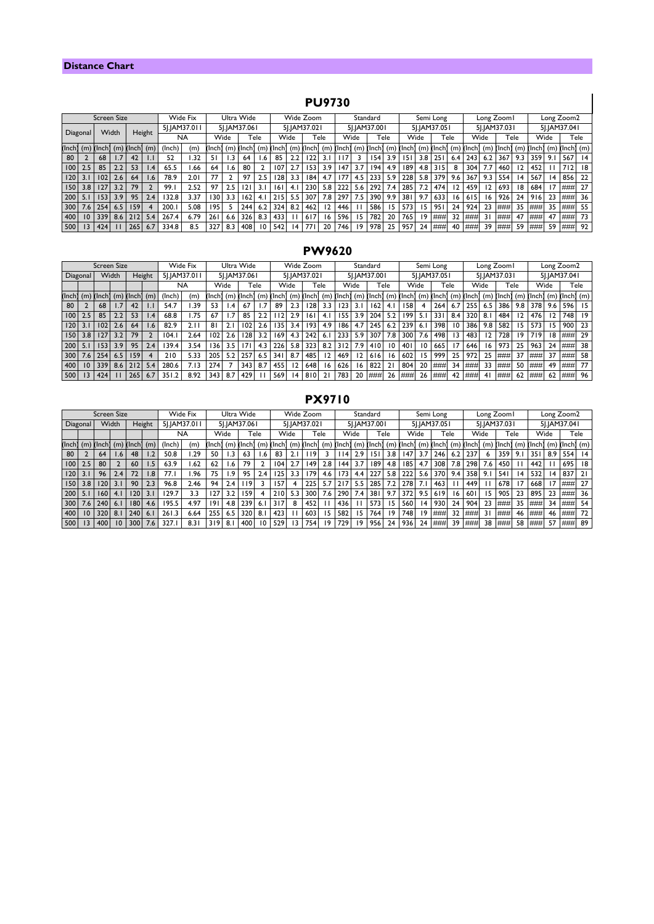### **Distance Chart**

# **PU9730**

|                  | <b>PU9730</b> |                    |     |                    |                |              |            |            |      |              |      |              |           |            |      |                           |                  |     |              |                           |                  |              |              |      |                         |     |            |      |                 |                                                           |    |
|------------------|---------------|--------------------|-----|--------------------|----------------|--------------|------------|------------|------|--------------|------|--------------|-----------|------------|------|---------------------------|------------------|-----|--------------|---------------------------|------------------|--------------|--------------|------|-------------------------|-----|------------|------|-----------------|-----------------------------------------------------------|----|
|                  |               | <b>Screen Size</b> |     |                    |                | Wide Fix     | Ultra Wide |            |      |              |      |              | Wide Zoom |            |      | Standard                  |                  |     |              |                           | Semi Long        |              |              |      | Long Zoom I             |     | Long Zoom2 |      |                 |                                                           |    |
| Diagonal         |               |                    |     |                    |                | 51.IAM37.011 |            |            |      | 5I.IAM37.061 |      | 51.JAM37.021 |           |            |      | 5I.IAM37.001              |                  |     | 51.1AM37.051 |                           |                  |              | 51.1AM37.031 |      |                         |     |            |      | 51.JAM37.041    |                                                           |    |
|                  |               | Width              |     | Height             |                | <b>NA</b>    |            | Wide       |      |              | Tele |              | Wide      |            | Tele | Wide                      |                  |     | Tele         |                           | Wide             |              | Tele         | Wide |                         |     | Tele       | Wide |                 | Tele                                                      |    |
|                  |               | 'Inch] (m) (Inch]  |     | $(m)$ (lnch) $(m)$ |                | (Inch)       | (m)        | (Inch)     |      | (m) (Inch)   |      | (m) (Inch)   |           |            |      | $(m)$ (lnch] $(m)$ (lnch) |                  |     |              | $(m)$ (Inch] $(m)$ (Inch] |                  | $(m)$ (Inch) |              |      |                         |     |            |      |                 | $(m)$ (lnch) $(m)$ (lnch) $(m)$ (lnch) $(m)$ (lnch) $(m)$ |    |
| 80               |               | 68                 |     | 42                 | $\mathsf{L}$   | 52           | 1.32       | 51         |      | 64           | l.6  | 85           | 2.2       | 122        | 3.1  | l 17                      |                  | 154 | 3.9          | 5                         | 3.8 <sub>1</sub> | 251          | 6.4          | 243  | 6.2                     | 367 | 9.3        | 359  | 9.1             | 567                                                       | 4  |
| 100 <sup>1</sup> | 2.5           | 85                 | 2.2 | 53                 | 1.4            | 65.5         | 66. ا      | 64         | . 6. | 80           |      | 107          | 2.7       | 153        | 3.9  | 147                       | 3.7              | 194 | 4.9          | 189                       |                  | 4.8 315      | 8            | 304  | 7.7                     | 460 | 12         | 452  |                 | 712                                                       | 18 |
| 120              | 3.1           | 102                | 2.6 | 64                 | 1.6            | 78.9         | 2.01       | 77         |      | 97           | 2.5  | 128          | 3.3       | 184        | 4.7  | 177                       | 4.5 I            | 233 | 5.9          | 228                       | 5.8 <sub>1</sub> | 379          | 9.6          | 367  | $9.3 \cup$              | 554 | 14         | 567  | $\overline{14}$ | 856                                                       | 22 |
| 150              | 3.8           | 127                | 3.2 | 79                 |                | 99.1         | 2.52       | 97         | 2.5  | 121          | 3.1  | 6            | 4.1       | 230        | 5.8  | 222                       | 5.6 <sub>1</sub> | 292 | 7.4          | 285                       | 7.2              | 474          | 12           | 459  | $\overline{2}$          | 693 | 18         | 684  | 17              | ###                                                       | 27 |
| 200              | 5.1           | 153                | 3.9 | 95                 | 2.4            | 132.8        | 3.37       | 130        | 3.3  | 162          | 4.1  | 215          | 5.5       | 307        | 7.8  | 297                       | 7.5 <sub>1</sub> | 390 | 9.9          | 38                        | 9.7              | 633          | 16           | 615  | 16 <sup>1</sup>         | 926 | 24         | 9161 | 23              | ###                                                       | 36 |
| 300              | 7.6           | 254                | 6.5 | 159                | $\overline{4}$ | 200.1        | 5.08       | 195        |      | 244          | 6.2  | 324          | 8.2       | 462        | 12   | 446                       |                  | 586 | 15           | 573                       | 15               | 951          | 24           | 924  | 23                      | ### | 35         | ###  | 35              | ###                                                       | 55 |
| 400              | 10            | 339                | 8.6 | 212                | 5.4            | 267.4        | 6.79       | <b>261</b> | 6.6  | 326          | 8.3  | 433          |           | 617        | 16   | 596                       | 15               | 782 | 20           | 765                       | 19               | ###          | 32           | ###  | $\overline{\mathbf{3}}$ | ### | 47         | ###  | 47              | ###                                                       | 73 |
| 500              | 3             | 424                |     | 265                | 6.7            | 334.8        | 8.5        | 327        | 8.3  | 408          | 10   | 542          | 14        | <b>771</b> | 20   | 746                       | 19               | 978 | 25           | 957                       | 24               | ###          | 40           | ###  | 39                      | ### | 59         | ###  | 59              | ###                                                       | 92 |

## **PW9620**

|                             |     | <b>Screen Size</b> |         |              |                 |              | Wide Fix     |        |     | Ultra Wide   |     |              |                  | Wide Zoom    |     |              |                  | Standard     |      |              |                 | Semi Long    |                 |              |                  | Long Zoom I             |     |              |     | Long Zoom2                      |     |
|-----------------------------|-----|--------------------|---------|--------------|-----------------|--------------|--------------|--------|-----|--------------|-----|--------------|------------------|--------------|-----|--------------|------------------|--------------|------|--------------|-----------------|--------------|-----------------|--------------|------------------|-------------------------|-----|--------------|-----|---------------------------------|-----|
| Width<br>Height<br>Diagonal |     |                    |         |              |                 | 5 . AM37.011 | 51.JAM37.061 |        |     |              |     | 5J.JAM37.021 |                  |              |     | 5J.JAM37.001 |                  |              |      | 5].JAM37.051 |                 |              |                 | 51.1AM37.031 |                  |                         |     | 51.JAM37.041 |     |                                 |     |
|                             |     |                    |         |              |                 | NA           |              | Wide   |     | Tele         |     | Wide         |                  | Tele         |     |              | Wide             |              | Tele |              | Wide            | Tele         |                 | Wide         |                  | Tele                    |     | Wide         |     | Tele                            |     |
| (Inch)                      |     | $(m)$ (lnch)       |         | $(m)$ (Inch) | (m)             | (Inch)       | (m)          | (Inch) |     | $(m)$ (lnch) |     | (m) (Inch)   |                  | $(m)$ (Inch) |     | $(m)$ (lnch) |                  | $(m)$ (Inch) |      | $(m)$ (lnch) |                 | $(m)$ (Inch) | (m)             |              |                  | $[lnch]$ $(m)$ $[lnch]$ |     |              |     | $(m)$ (lnch) $(m)$ (lnch) $(m)$ |     |
| 80                          |     | 68                 | 1.7     | 42           |                 | 54.7         | .39          | 53     |     | 67           |     | 89           |                  | 28           | 3.3 | 123          |                  | 162          | 4.   | 158          |                 | 264          | 6.7             | 255          | 6.5              | 386                     | 9.8 | 378          | 9.6 | 596                             | -15 |
| 100                         | 2.5 | 85                 | 2.2     | 53           | .4              | 68.8         | .75          | 67     |     | 85           |     |              | 2.91             | 161          | 4.  | 155          | 3.9 <sup>1</sup> | 204          | 5.2  | 199          | -5.1            | 331          | 8.4             | 320          | 8.               | 484                     |     | 476          |     | 748                             | 19  |
| 120                         | 3.1 | 102                | $2.6\,$ | 64           | .6 <sub>1</sub> | 82.9         | 2.1          | 81     | 2.  | 102          | 2.6 | 135          | 3.4 <sub>1</sub> | 193          | 4.9 | 186          | 4.7              | 245          | 6.2  | 239          | 6.              | 398          | $\overline{10}$ | 386          | 9.8 <sub>1</sub> | 582                     | 15  | 573          | 15. | 900                             | 23  |
| 150                         | 3.8 |                    | 3.2     | 79           |                 | 104.         | 2.64         | 102    | 2.6 | 128          | 3.2 | 169          | 4.3 <sub>1</sub> | 242          | 6.  | 233          | 5.9 <sub>1</sub> | 307          | 7.8  | 300          | $7.6 \mid$      | 498          | 13              | 483          |                  | 728                     | 19  | 719          | 18  | # 4# 4# 4                       | 29  |
| 200                         | 5.1 | 153                | 3.9     | 95           | 2.4             | 39.4         | 3.54         | 136    | 3.5 | 171          | 4.3 | 226          | 5.8 <sub>1</sub> | 323          | 8.2 | 312          | 7.9              | 410          | 10   | 401          | $\overline{10}$ | 665          | 17              | 646          | 16 <sup>2</sup>  | 973                     | 25  | 963          | 24  |                                 | 38  |
| 300                         | 7.6 | 254 <sub>1</sub>   | 6.5     | 159          |                 | 210          | 5.33         | 205    | 5.2 | 257          | 6.5 | 341          | 8.7              | 485          | 12  | 469          |                  | 616          | 16   | 602          | 15.             | 999          | 25              | 972          | 25               | ###                     | 37  | ###          | 37  | ###                             | 58  |
| 400                         | 10  | 339                | 8.6     | 212          | 5.4             | 280.6        | 7.13         | 274    |     | 343          | 8.7 | 455          |                  | 648          | 16  | 626          | 16               | 822          | 21   | 804          | 20              | ###          | 34              | ###          | 33               | ###                     | 50  | ###          | 49  |                                 | 77  |
| 500                         | 13  | 424                |         | 265          | 6.7             | 351.2        | 8.92         | 343    | 8.7 | 429          |     | 569          | 14               | 810          |     | 783          | 20               | ###          | 26   | ###          | 26              | ###          | 42              | ###          | 4                | ###                     | 62  | ###          | 62  | ###                             | 96  |

|            |                | <b>Screen Size</b> |                 |              |     |              | Wide Fix     |        | Ultra Wide       |              |              |        | Wide Zoom |              |              |        | Standard         |              |     |              | Semi Long      |              |     |        | Long Zoom I |              | Long Zoom2 |              |                  |                    |    |
|------------|----------------|--------------------|-----------------|--------------|-----|--------------|--------------|--------|------------------|--------------|--------------|--------|-----------|--------------|--------------|--------|------------------|--------------|-----|--------------|----------------|--------------|-----|--------|-------------|--------------|------------|--------------|------------------|--------------------|----|
| Diagonal   |                |                    | Width<br>Height |              |     | 51.JAM37.011 | 5J.JAM37.061 |        |                  |              | 5J.JAM37.021 |        |           | 5J.JAM37.001 |              |        |                  | 5J.JAM37.051 |     | 51.JAM37.031 |                |              |     |        |             | 51.JAM37.041 |            |              |                  |                    |    |
|            |                |                    |                 |              |     | NA           |              |        | Wide             | Tele         |              | Wide   |           | Tele         |              | Wide   |                  | Tele         |     | Wide         |                | Tele         |     | Wide   |             | Tele         |            | Wide         |                  | Tele               |    |
| (Inch)     |                | $(m)$ (lnch)       |                 | $(m)$ (Inch) | (m) | (Inch)       | (m)          | (Inch) |                  | $(m)$ (lnch) | (m)          | (Inch) |           | $(m)$ (lnch) | (m)          | (Inch) |                  | $(m)$ (Inch) |     | (m) (Inch)   |                | $(m)$ (lnch) | (m) | (Inch) |             | (m) (Inch)   |            | $(m)$ (lnch) |                  | $(m)$ (lnch) $(m)$ |    |
| 80         |                | 64                 | .6              | 48           |     | 50.8         | .29          | 50     |                  | 63           | .6           | 83     |           | 19           |              | ۱۱4    | 2.9              | 151          | 3.8 | 147          | 3.7            | 246          | 6.2 | 237    |             | 359          | 9.1        | 35           | 8.9 <sub>1</sub> | 554                | 14 |
| 100        | 2.5            | 80                 |                 | 60           | . 5 | 63.9         | .62          | 62     | .6               | 79           |              | 104    |           | 149          | 2.8          | 44     | 3.7              | 189          | 4.8 | 185          | 4.7            | 308          | 7.8 | 298    | 7.6 I       | 450          |            | 442          |                  | 695                | 18 |
| 120        | $\overline{3}$ | 96                 | 2.4             | 72           | .8  | 77.1         | .96          | 75     | .9               | 95           | 2.4          |        | 3.3       | 179          | 4.6          | 173    | 4.4 <sub>1</sub> | 227          | 5.8 | 222          | 5.6            | 370          | 9.4 | 358    | 9.1         | 541          | 14         | 532          | $\overline{14}$  | 837                | 21 |
| <b>ISO</b> | 3.8            | 120                |                 | 90           | 2.3 | 96.8         | 2.46         | 94     | 2.4              | 19           |              | 157    |           | 225          | 5.7          | 217    | 5.5              | 285          | 7.2 | 278          | 7 <sup>2</sup> | 463          |     | 449    |             | 678          | 17         | 668          |                  | ####               | 27 |
| 200        | 5.1            | 160                | 4.1             | 120          | 3.1 | 129.7        | 3.3          | 127    | 3.2              | 159          | 4            | 210    | 5.3       | 300          | 7.6          | 290    | 7.4              | 381          | 9.7 | 372          | 9.5            | 619          | 16  | 60     | 15          | 905          | 23         | 895          | 23               | ###                | 36 |
| 300        | 7.6            | 240                | 6.1             | 180          | 4.6 | 195.5        | 4.97         | 191    | 4.8 <sub>1</sub> | 239          | 6.1          | 317    | 8         | 452          | $\mathbf{I}$ | 436    |                  | 573          | 15  | 560          | 14             | 930          | 24  | 904    | 23          | ###          | 35         | ###          | 34               | ###                | 54 |
| 400        | 10             | 320                | 8.1             | 240          | 6.1 | 261          | 6.64         | 255    | 6.5              | 320          | 8.           | 423    |           | 603          | 15           | 582    | 151              | 764          | 19  | 748          | 19             | ###          | 32  | ###    |             | ###          | 46         | ###          | 46               | ###                | 72 |
| 500        | 13             | 400                | 10              | 300          | 7.6 | 327          | 8.31         | 319    | 8.'              | 400          | 10           | 529    |           | 754          | 19           | 729    | 19               | 956          | 24  | 936          | 24             | ###          | 39  | ###    | 38          | ###          | 58         | 1###         | 57               | ###                | 89 |

## **PX9710**